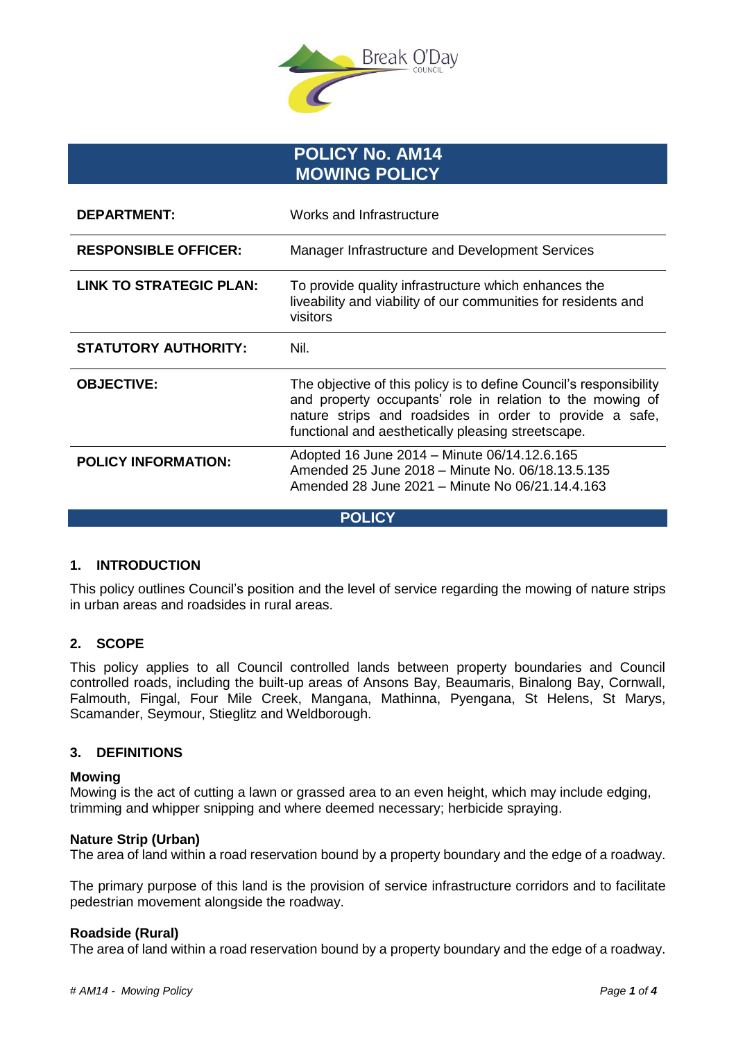

**POLICY No. AM14 MOWING POLICY** 

| <b>DEPARTMENT:</b>             | Works and Infrastructure                                                                                                                                                                                                                         |  |
|--------------------------------|--------------------------------------------------------------------------------------------------------------------------------------------------------------------------------------------------------------------------------------------------|--|
| <b>RESPONSIBLE OFFICER:</b>    | Manager Infrastructure and Development Services                                                                                                                                                                                                  |  |
| <b>LINK TO STRATEGIC PLAN:</b> | To provide quality infrastructure which enhances the<br>liveability and viability of our communities for residents and<br>visitors                                                                                                               |  |
| <b>STATUTORY AUTHORITY:</b>    | Nil.                                                                                                                                                                                                                                             |  |
| <b>OBJECTIVE:</b>              | The objective of this policy is to define Council's responsibility<br>and property occupants' role in relation to the mowing of<br>nature strips and roadsides in order to provide a safe,<br>functional and aesthetically pleasing streetscape. |  |
| <b>POLICY INFORMATION:</b>     | Adopted 16 June 2014 - Minute 06/14.12.6.165<br>Amended 25 June 2018 - Minute No. 06/18.13.5.135<br>Amended 28 June 2021 – Minute No 06/21.14.4.163                                                                                              |  |

**POLICY**

## **1. INTRODUCTION**

This policy outlines Council's position and the level of service regarding the mowing of nature strips in urban areas and roadsides in rural areas.

## **2. SCOPE**

This policy applies to all Council controlled lands between property boundaries and Council controlled roads, including the built-up areas of Ansons Bay, Beaumaris, Binalong Bay, Cornwall, Falmouth, Fingal, Four Mile Creek, Mangana, Mathinna, Pyengana, St Helens, St Marys, Scamander, Seymour, Stieglitz and Weldborough.

## **3. DEFINITIONS**

#### **Mowing**

Mowing is the act of cutting a lawn or grassed area to an even height, which may include edging, trimming and whipper snipping and where deemed necessary; herbicide spraying.

#### **Nature Strip (Urban)**

The area of land within a road reservation bound by a property boundary and the edge of a roadway.

The primary purpose of this land is the provision of service infrastructure corridors and to facilitate pedestrian movement alongside the roadway.

## **Roadside (Rural)**

The area of land within a road reservation bound by a property boundary and the edge of a roadway.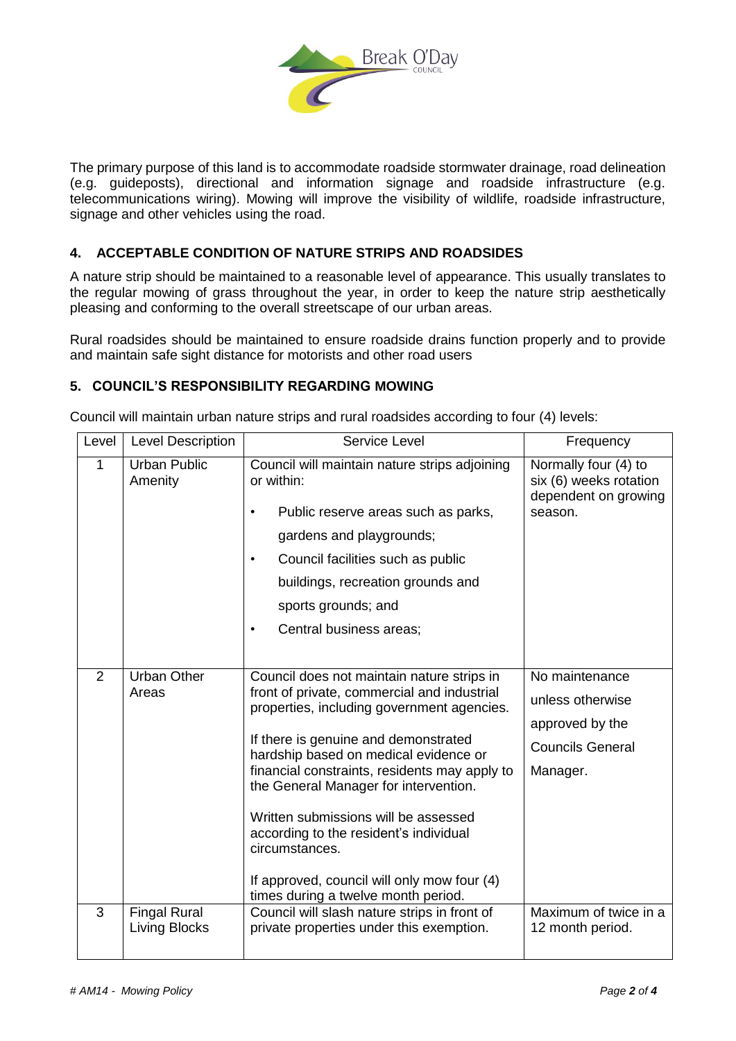

The primary purpose of this land is to accommodate roadside stormwater drainage, road delineation (e.g. guideposts), directional and information signage and roadside infrastructure (e.g. telecommunications wiring). Mowing will improve the visibility of wildlife, roadside infrastructure, signage and other vehicles using the road.

# **4. ACCEPTABLE CONDITION OF NATURE STRIPS AND ROADSIDES**

A nature strip should be maintained to a reasonable level of appearance. This usually translates to the regular mowing of grass throughout the year, in order to keep the nature strip aesthetically pleasing and conforming to the overall streetscape of our urban areas.

Rural roadsides should be maintained to ensure roadside drains function properly and to provide and maintain safe sight distance for motorists and other road users

## **5. COUNCIL'S RESPONSIBILITY REGARDING MOWING**

Council will maintain urban nature strips and rural roadsides according to four (4) levels:

| Level | <b>Level Description</b>                    | Service Level                                                                                                                                                                                                                                                                                                                                                                                                                                                                                                | Frequency                                                                                    |
|-------|---------------------------------------------|--------------------------------------------------------------------------------------------------------------------------------------------------------------------------------------------------------------------------------------------------------------------------------------------------------------------------------------------------------------------------------------------------------------------------------------------------------------------------------------------------------------|----------------------------------------------------------------------------------------------|
| 1     | <b>Urban Public</b><br>Amenity              | Council will maintain nature strips adjoining<br>or within:<br>Public reserve areas such as parks,<br>$\bullet$<br>gardens and playgrounds;<br>Council facilities such as public<br>$\bullet$<br>buildings, recreation grounds and<br>sports grounds; and<br>Central business areas;                                                                                                                                                                                                                         | Normally four (4) to<br>six (6) weeks rotation<br>dependent on growing<br>season.            |
| 2     | <b>Urban Other</b><br>Areas                 | Council does not maintain nature strips in<br>front of private, commercial and industrial<br>properties, including government agencies.<br>If there is genuine and demonstrated<br>hardship based on medical evidence or<br>financial constraints, residents may apply to<br>the General Manager for intervention.<br>Written submissions will be assessed<br>according to the resident's individual<br>circumstances.<br>If approved, council will only mow four (4)<br>times during a twelve month period. | No maintenance<br>unless otherwise<br>approved by the<br><b>Councils General</b><br>Manager. |
| 3     | <b>Fingal Rural</b><br><b>Living Blocks</b> | Council will slash nature strips in front of<br>private properties under this exemption.                                                                                                                                                                                                                                                                                                                                                                                                                     | Maximum of twice in a<br>12 month period.                                                    |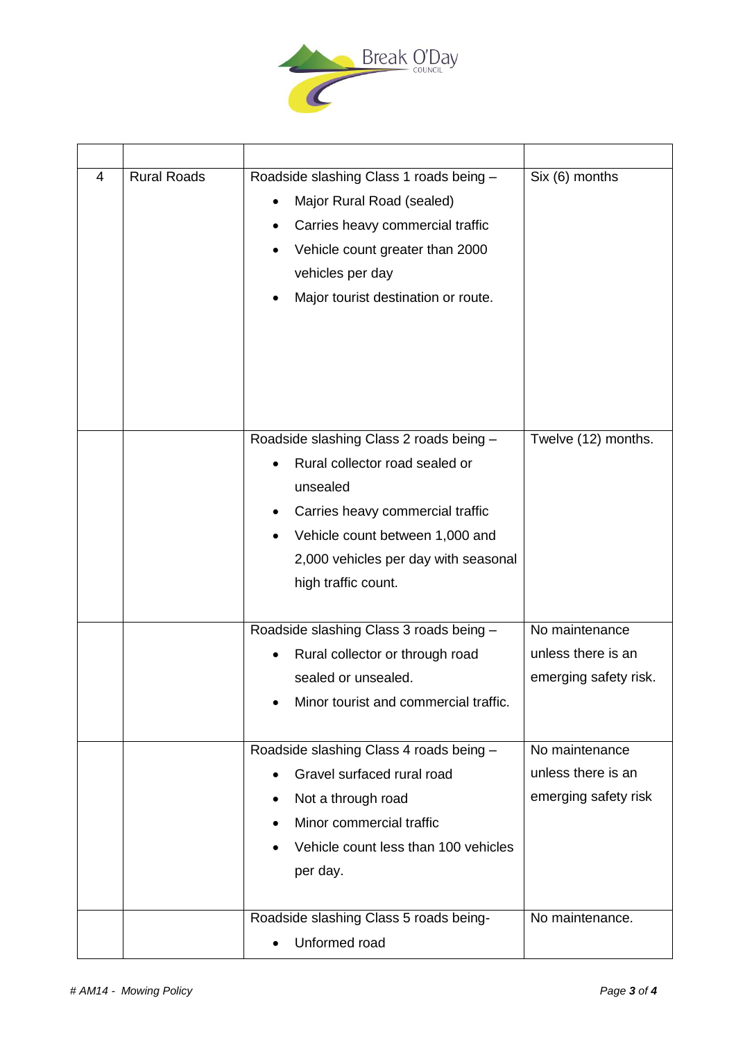

| 4 | <b>Rural Roads</b> | Roadside slashing Class 1 roads being -<br>Major Rural Road (sealed)<br>Carries heavy commercial traffic<br>Vehicle count greater than 2000<br>vehicles per day<br>Major tourist destination or route.                      | Six (6) months                                                |
|---|--------------------|-----------------------------------------------------------------------------------------------------------------------------------------------------------------------------------------------------------------------------|---------------------------------------------------------------|
|   |                    | Roadside slashing Class 2 roads being -<br>Rural collector road sealed or<br>unsealed<br>Carries heavy commercial traffic<br>Vehicle count between 1,000 and<br>2,000 vehicles per day with seasonal<br>high traffic count. | Twelve (12) months.                                           |
|   |                    | Roadside slashing Class 3 roads being -<br>Rural collector or through road<br>sealed or unsealed.<br>Minor tourist and commercial traffic.                                                                                  | No maintenance<br>unless there is an<br>emerging safety risk. |
|   |                    | Roadside slashing Class 4 roads being -<br>Gravel surfaced rural road<br>Not a through road<br>Minor commercial traffic<br>Vehicle count less than 100 vehicles<br>per day.                                                 | No maintenance<br>unless there is an<br>emerging safety risk  |
|   |                    | Roadside slashing Class 5 roads being-<br>Unformed road                                                                                                                                                                     | No maintenance.                                               |